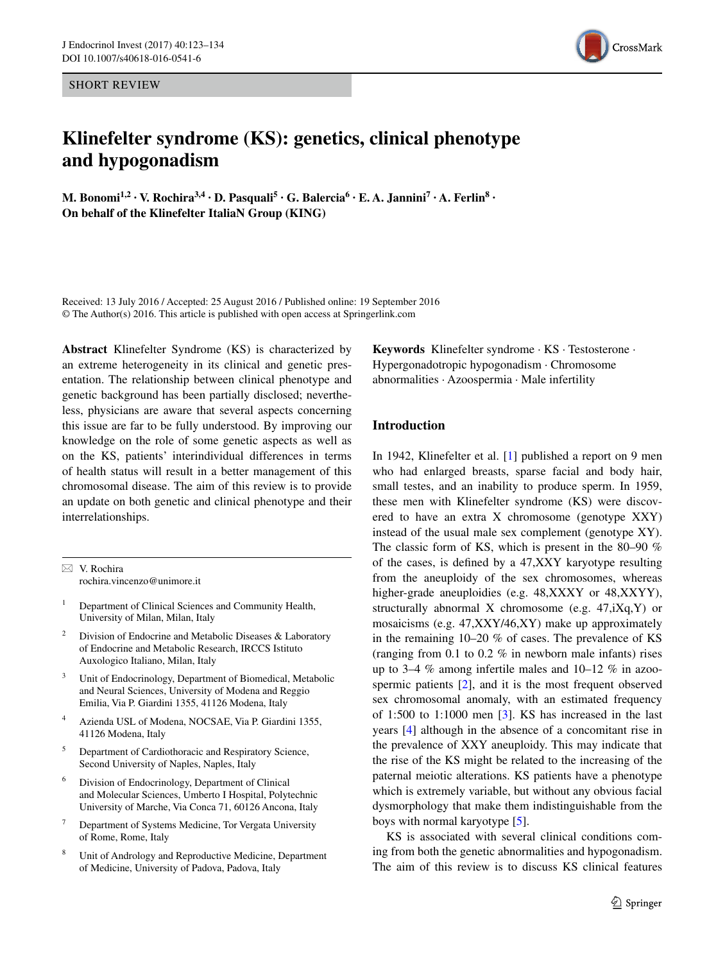SHORT REVIEW

# **Klinefelter syndrome (KS): genetics, clinical phenotype and hypogonadism**

**M. Bonomi<sup>1,2</sup> · V. Rochira<sup>3,4</sup> · D. Pasquali<sup>5</sup> · G. Balercia<sup>6</sup> · E. A. Jannini**<sup>7</sup> · A. **Ferlin**<sup>8</sup> · **On behalf of the Klinefelter ItaliaN Group (KING)**

Received: 13 July 2016 / Accepted: 25 August 2016 / Published online: 19 September 2016 © The Author(s) 2016. This article is published with open access at Springerlink.com

**Abstract** Klinefelter Syndrome (KS) is characterized by an extreme heterogeneity in its clinical and genetic presentation. The relationship between clinical phenotype and genetic background has been partially disclosed; nevertheless, physicians are aware that several aspects concerning this issue are far to be fully understood. By improving our knowledge on the role of some genetic aspects as well as on the KS, patients' interindividual differences in terms of health status will result in a better management of this chromosomal disease. The aim of this review is to provide an update on both genetic and clinical phenotype and their interrelationships.

 $\boxtimes$  V. Rochira rochira.vincenzo@unimore.it

- <sup>1</sup> Department of Clinical Sciences and Community Health, University of Milan, Milan, Italy
- Division of Endocrine and Metabolic Diseases & Laboratory of Endocrine and Metabolic Research, IRCCS Istituto Auxologico Italiano, Milan, Italy
- Unit of Endocrinology, Department of Biomedical, Metabolic and Neural Sciences, University of Modena and Reggio Emilia, Via P. Giardini 1355, 41126 Modena, Italy
- <sup>4</sup> Azienda USL of Modena, NOCSAE, Via P. Giardini 1355, 41126 Modena, Italy
- <sup>5</sup> Department of Cardiothoracic and Respiratory Science, Second University of Naples, Naples, Italy
- Division of Endocrinology, Department of Clinical and Molecular Sciences, Umberto I Hospital, Polytechnic University of Marche, Via Conca 71, 60126 Ancona, Italy
- <sup>7</sup> Department of Systems Medicine, Tor Vergata University of Rome, Rome, Italy
- Unit of Andrology and Reproductive Medicine, Department of Medicine, University of Padova, Padova, Italy

**Keywords** Klinefelter syndrome · KS · Testosterone · Hypergonadotropic hypogonadism · Chromosome abnormalities · Azoospermia · Male infertility

# **Introduction**

In 1942, Klinefelter et al. [[1\]](#page-7-0) published a report on 9 men who had enlarged breasts, sparse facial and body hair, small testes, and an inability to produce sperm. In 1959, these men with Klinefelter syndrome (KS) were discovered to have an extra X chromosome (genotype XXY) instead of the usual male sex complement (genotype XY). The classic form of KS, which is present in the 80–90 % of the cases, is defined by a 47,XXY karyotype resulting from the aneuploidy of the sex chromosomes, whereas higher-grade aneuploidies (e.g. 48,XXXY or 48,XXYY), structurally abnormal X chromosome (e.g. 47,iXq,Y) or mosaicisms (e.g. 47,XXY/46,XY) make up approximately in the remaining 10–20 % of cases. The prevalence of KS (ranging from 0.1 to 0.2 % in newborn male infants) rises up to 3–4 % among infertile males and 10–12 % in azoospermic patients [[2\]](#page-7-1), and it is the most frequent observed sex chromosomal anomaly, with an estimated frequency of 1:500 to 1:1000 men [[3\]](#page-8-0). KS has increased in the last years [\[4](#page-8-1)] although in the absence of a concomitant rise in the prevalence of XXY aneuploidy. This may indicate that the rise of the KS might be related to the increasing of the paternal meiotic alterations. KS patients have a phenotype which is extremely variable, but without any obvious facial dysmorphology that make them indistinguishable from the boys with normal karyotype [\[5](#page-8-2)].

KS is associated with several clinical conditions coming from both the genetic abnormalities and hypogonadism. The aim of this review is to discuss KS clinical features

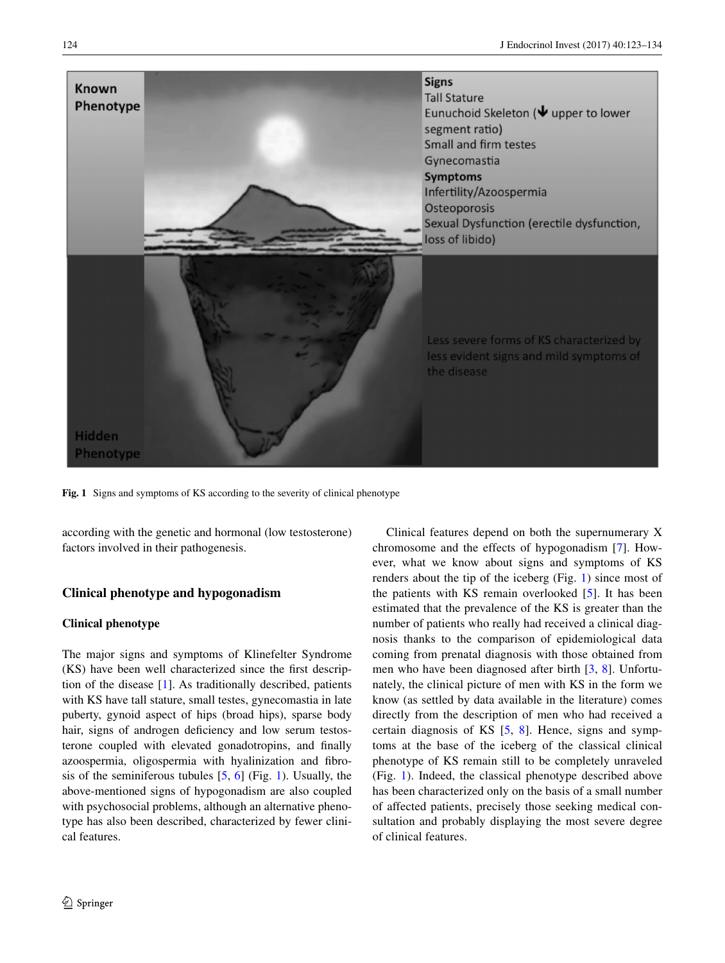

**Fig. 1** Signs and symptoms of KS according to the severity of clinical phenotype

<span id="page-1-0"></span>according with the genetic and hormonal (low testosterone) factors involved in their pathogenesis.

# **Clinical phenotype and hypogonadism**

### **Clinical phenotype**

The major signs and symptoms of Klinefelter Syndrome (KS) have been well characterized since the first description of the disease [\[1](#page-7-0)]. As traditionally described, patients with KS have tall stature, small testes, gynecomastia in late puberty, gynoid aspect of hips (broad hips), sparse body hair, signs of androgen deficiency and low serum testosterone coupled with elevated gonadotropins, and finally azoospermia, oligospermia with hyalinization and fibrosis of the seminiferous tubules  $[5, 6]$  $[5, 6]$  $[5, 6]$  $[5, 6]$  (Fig. [1\)](#page-1-0). Usually, the above-mentioned signs of hypogonadism are also coupled with psychosocial problems, although an alternative phenotype has also been described, characterized by fewer clinical features.

Clinical features depend on both the supernumerary X chromosome and the effects of hypogonadism [[7\]](#page-8-4). However, what we know about signs and symptoms of KS renders about the tip of the iceberg (Fig. [1](#page-1-0)) since most of the patients with KS remain overlooked [\[5](#page-8-2)]. It has been estimated that the prevalence of the KS is greater than the number of patients who really had received a clinical diagnosis thanks to the comparison of epidemiological data coming from prenatal diagnosis with those obtained from men who have been diagnosed after birth [[3,](#page-8-0) [8\]](#page-8-5). Unfortunately, the clinical picture of men with KS in the form we know (as settled by data available in the literature) comes directly from the description of men who had received a certain diagnosis of KS [\[5](#page-8-2), [8\]](#page-8-5). Hence, signs and symptoms at the base of the iceberg of the classical clinical phenotype of KS remain still to be completely unraveled (Fig. [1](#page-1-0)). Indeed, the classical phenotype described above has been characterized only on the basis of a small number of affected patients, precisely those seeking medical consultation and probably displaying the most severe degree of clinical features.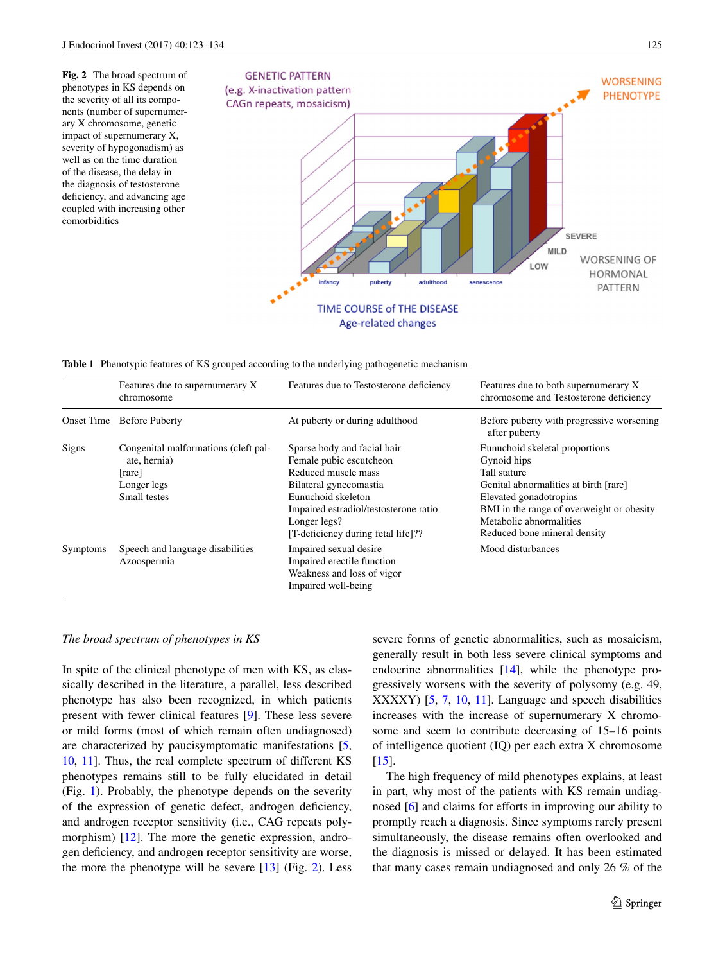<span id="page-2-0"></span>**Fig. 2** The broad spectrum of phenotypes in KS depends on the severity of all its components (number of supernumerary X chromosome, genetic impact of supernumerary X, severity of hypogonadism) as well as on the time duration of the disease, the delay in the diagnosis of testosterone deficiency, and advancing age coupled with increasing other comorbidities



<span id="page-2-1"></span>**Table 1** Phenotypic features of KS grouped according to the underlying pathogenetic mechanism

|                 | Features due to supernumerary X<br>chromosome                                                 | Features due to Testosterone deficiency                                                                                                                                                                                      | Features due to both supernumerary X<br>chromosome and Testosterone deficiency                                                                                                                                                           |
|-----------------|-----------------------------------------------------------------------------------------------|------------------------------------------------------------------------------------------------------------------------------------------------------------------------------------------------------------------------------|------------------------------------------------------------------------------------------------------------------------------------------------------------------------------------------------------------------------------------------|
|                 | <b>Onset Time Before Puberty</b>                                                              | At puberty or during adulthood                                                                                                                                                                                               | Before puberty with progressive worsening<br>after puberty                                                                                                                                                                               |
| Signs           | Congenital malformations (cleft pal-<br>ate, hernia)<br>[rare]<br>Longer legs<br>Small testes | Sparse body and facial hair<br>Female pubic escutcheon<br>Reduced muscle mass<br>Bilateral gynecomastia<br>Eunuchoid skeleton<br>Impaired estradiol/testosterone ratio<br>Longer legs?<br>[T-deficiency during fetal life]?? | Eunuchoid skeletal proportions<br>Gynoid hips<br>Tall stature<br>Genital abnormalities at birth [rare]<br>Elevated gonadotropins<br>BMI in the range of overweight or obesity<br>Metabolic abnormalities<br>Reduced bone mineral density |
| <b>Symptoms</b> | Speech and language disabilities<br>Azoospermia                                               | Impaired sexual desire<br>Impaired erectile function<br>Weakness and loss of vigor<br>Impaired well-being                                                                                                                    | Mood disturbances                                                                                                                                                                                                                        |

#### *The broad spectrum of phenotypes in KS*

In spite of the clinical phenotype of men with KS, as classically described in the literature, a parallel, less described phenotype has also been recognized, in which patients present with fewer clinical features [\[9](#page-8-6)]. These less severe or mild forms (most of which remain often undiagnosed) are characterized by paucisymptomatic manifestations [[5,](#page-8-2) [10](#page-8-7), [11](#page-8-8)]. Thus, the real complete spectrum of different KS phenotypes remains still to be fully elucidated in detail (Fig. [1\)](#page-1-0). Probably, the phenotype depends on the severity of the expression of genetic defect, androgen deficiency, and androgen receptor sensitivity (i.e., CAG repeats poly-morphism) [\[12](#page-8-9)]. The more the genetic expression, androgen deficiency, and androgen receptor sensitivity are worse, the more the phenotype will be severe  $[13]$  $[13]$  (Fig. [2](#page-2-0)). Less severe forms of genetic abnormalities, such as mosaicism, generally result in both less severe clinical symptoms and endocrine abnormalities [\[14](#page-8-11)], while the phenotype progressively worsens with the severity of polysomy (e.g. 49, XXXXY) [\[5](#page-8-2), [7](#page-8-4), [10](#page-8-7), [11](#page-8-8)]. Language and speech disabilities increases with the increase of supernumerary X chromosome and seem to contribute decreasing of 15–16 points of intelligence quotient (IQ) per each extra X chromosome  $[15]$  $[15]$ .

The high frequency of mild phenotypes explains, at least in part, why most of the patients with KS remain undiagnosed [[6\]](#page-8-3) and claims for efforts in improving our ability to promptly reach a diagnosis. Since symptoms rarely present simultaneously, the disease remains often overlooked and the diagnosis is missed or delayed. It has been estimated that many cases remain undiagnosed and only 26 % of the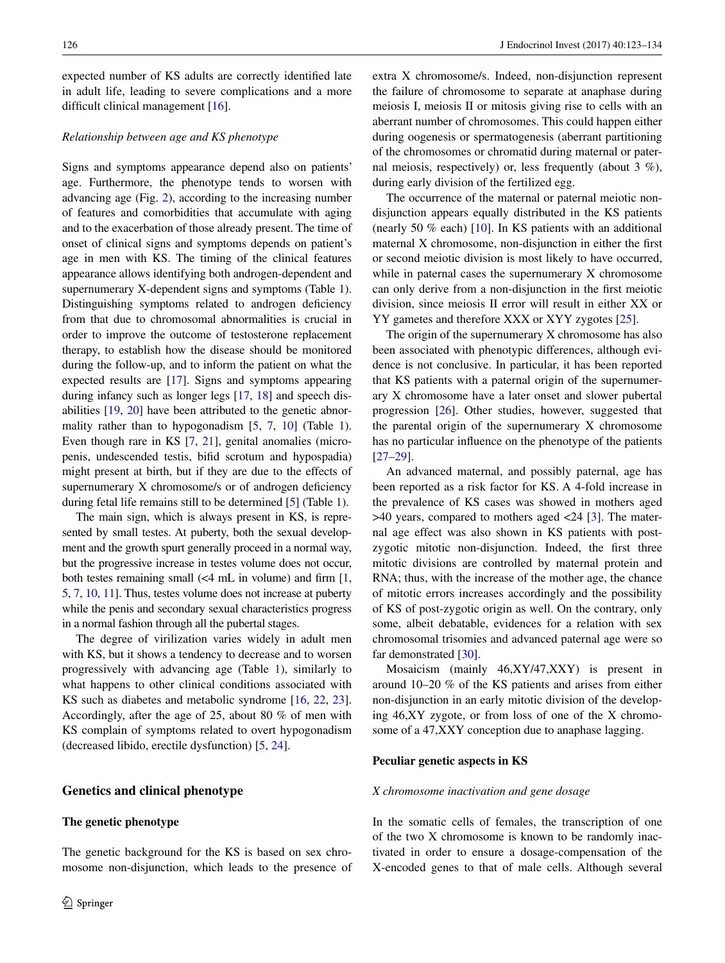expected number of KS adults are correctly identified late in adult life, leading to severe complications and a more difficult clinical management [\[16](#page-8-13)].

## *Relationship between age and KS phenotype*

Signs and symptoms appearance depend also on patients' age. Furthermore, the phenotype tends to worsen with advancing age (Fig. [2](#page-2-0)), according to the increasing number of features and comorbidities that accumulate with aging and to the exacerbation of those already present. The time of onset of clinical signs and symptoms depends on patient's age in men with KS. The timing of the clinical features appearance allows identifying both androgen-dependent and supernumerary X-dependent signs and symptoms (Table [1](#page-2-1)). Distinguishing symptoms related to androgen deficiency from that due to chromosomal abnormalities is crucial in order to improve the outcome of testosterone replacement therapy, to establish how the disease should be monitored during the follow-up, and to inform the patient on what the expected results are [\[17](#page-8-14)]. Signs and symptoms appearing during infancy such as longer legs [\[17](#page-8-14), [18\]](#page-8-15) and speech disabilities [[19,](#page-8-16) [20](#page-8-17)] have been attributed to the genetic abnor-mality rather than to hypogonadism [[5,](#page-8-2) [7](#page-8-4), [10](#page-8-7)] (Table [1](#page-2-1)). Even though rare in KS [\[7](#page-8-4), [21](#page-8-18)], genital anomalies (micropenis, undescended testis, bifid scrotum and hypospadia) might present at birth, but if they are due to the effects of supernumerary X chromosome/s or of androgen deficiency during fetal life remains still to be determined [[5\]](#page-8-2) (Table [1](#page-2-1)).

The main sign, which is always present in KS, is represented by small testes. At puberty, both the sexual development and the growth spurt generally proceed in a normal way, but the progressive increase in testes volume does not occur, both testes remaining small  $\ll 4$  mL in volume) and firm [[1,](#page-7-0) [5,](#page-8-2) [7](#page-8-4), [10,](#page-8-7) [11](#page-8-8)]. Thus, testes volume does not increase at puberty while the penis and secondary sexual characteristics progress in a normal fashion through all the pubertal stages.

The degree of virilization varies widely in adult men with KS, but it shows a tendency to decrease and to worsen progressively with advancing age (Table [1\)](#page-2-1), similarly to what happens to other clinical conditions associated with KS such as diabetes and metabolic syndrome [[16,](#page-8-13) [22,](#page-8-19) [23](#page-8-20)]. Accordingly, after the age of 25, about 80 % of men with KS complain of symptoms related to overt hypogonadism (decreased libido, erectile dysfunction) [[5,](#page-8-2) [24\]](#page-8-21).

## **Genetics and clinical phenotype**

## **The genetic phenotype**

The genetic background for the KS is based on sex chromosome non-disjunction, which leads to the presence of extra X chromosome/s. Indeed, non-disjunction represent the failure of chromosome to separate at anaphase during meiosis I, meiosis II or mitosis giving rise to cells with an aberrant number of chromosomes. This could happen either during oogenesis or spermatogenesis (aberrant partitioning of the chromosomes or chromatid during maternal or paternal meiosis, respectively) or, less frequently (about 3 %), during early division of the fertilized egg.

The occurrence of the maternal or paternal meiotic nondisjunction appears equally distributed in the KS patients (nearly 50 % each) [\[10](#page-8-7)]. In KS patients with an additional maternal X chromosome, non-disjunction in either the first or second meiotic division is most likely to have occurred, while in paternal cases the supernumerary X chromosome can only derive from a non-disjunction in the first meiotic division, since meiosis II error will result in either XX or YY gametes and therefore XXX or XYY zygotes [\[25](#page-8-22)].

The origin of the supernumerary X chromosome has also been associated with phenotypic differences, although evidence is not conclusive. In particular, it has been reported that KS patients with a paternal origin of the supernumerary X chromosome have a later onset and slower pubertal progression [[26\]](#page-8-23). Other studies, however, suggested that the parental origin of the supernumerary X chromosome has no particular influence on the phenotype of the patients [\[27](#page-8-24)[–29](#page-8-25)].

An advanced maternal, and possibly paternal, age has been reported as a risk factor for KS. A 4-fold increase in the prevalence of KS cases was showed in mothers aged  $>40$  years, compared to mothers aged  $<$ 24 [[3\]](#page-8-0). The maternal age effect was also shown in KS patients with postzygotic mitotic non-disjunction. Indeed, the first three mitotic divisions are controlled by maternal protein and RNA; thus, with the increase of the mother age, the chance of mitotic errors increases accordingly and the possibility of KS of post-zygotic origin as well. On the contrary, only some, albeit debatable, evidences for a relation with sex chromosomal trisomies and advanced paternal age were so far demonstrated [\[30](#page-8-26)].

Mosaicism (mainly 46,XY/47,XXY) is present in around 10–20 % of the KS patients and arises from either non-disjunction in an early mitotic division of the developing 46,XY zygote, or from loss of one of the X chromosome of a 47,XXY conception due to anaphase lagging.

#### **Peculiar genetic aspects in KS**

#### *X chromosome inactivation and gene dosage*

In the somatic cells of females, the transcription of one of the two X chromosome is known to be randomly inactivated in order to ensure a dosage-compensation of the X-encoded genes to that of male cells. Although several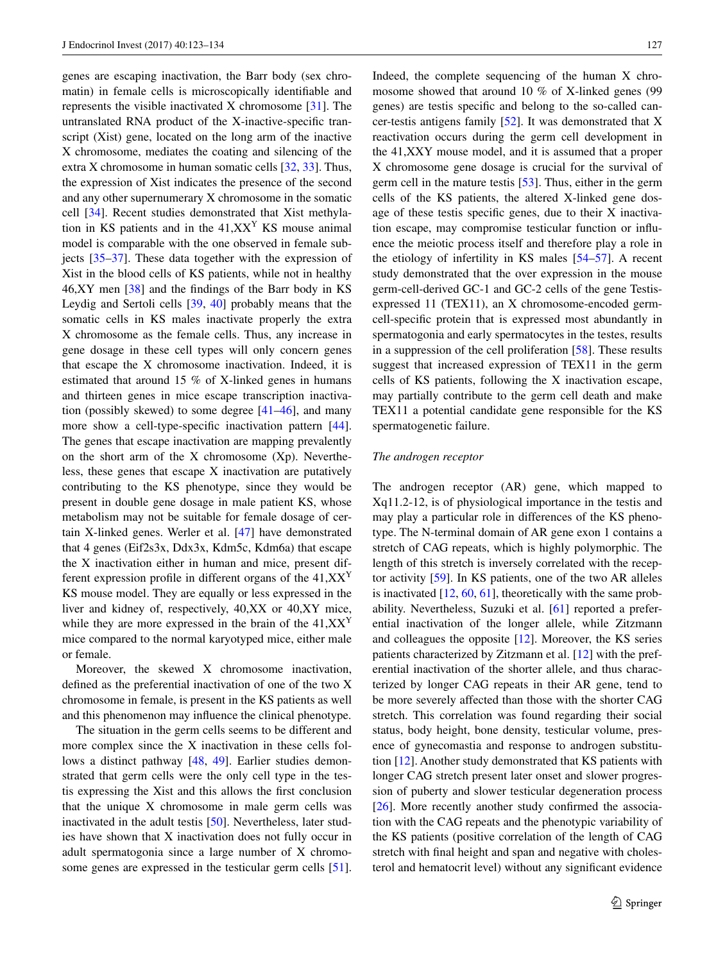genes are escaping inactivation, the Barr body (sex chromatin) in female cells is microscopically identifiable and represents the visible inactivated X chromosome [[31\]](#page-8-27). The untranslated RNA product of the X-inactive-specific transcript (Xist) gene, located on the long arm of the inactive X chromosome, mediates the coating and silencing of the extra X chromosome in human somatic cells [[32,](#page-8-28) [33\]](#page-8-29). Thus, the expression of Xist indicates the presence of the second and any other supernumerary X chromosome in the somatic cell [[34\]](#page-8-30). Recent studies demonstrated that Xist methylation in KS patients and in the  $41, XX<sup>Y</sup>$  KS mouse animal model is comparable with the one observed in female subjects [[35–](#page-8-31)[37\]](#page-9-0). These data together with the expression of Xist in the blood cells of KS patients, while not in healthy 46,XY men [[38\]](#page-9-1) and the findings of the Barr body in KS Leydig and Sertoli cells [[39,](#page-9-2) [40\]](#page-9-3) probably means that the somatic cells in KS males inactivate properly the extra X chromosome as the female cells. Thus, any increase in gene dosage in these cell types will only concern genes that escape the X chromosome inactivation. Indeed, it is estimated that around 15 % of X-linked genes in humans and thirteen genes in mice escape transcription inactivation (possibly skewed) to some degree [\[41](#page-9-4)[–46](#page-9-5)], and many more show a cell-type-specific inactivation pattern [\[44](#page-9-6)]. The genes that escape inactivation are mapping prevalently on the short arm of the X chromosome (Xp). Nevertheless, these genes that escape X inactivation are putatively contributing to the KS phenotype, since they would be present in double gene dosage in male patient KS, whose metabolism may not be suitable for female dosage of certain X-linked genes. Werler et al. [[47\]](#page-9-7) have demonstrated that 4 genes (Eif2s3x, Ddx3x, Kdm5c, Kdm6a) that escape the X inactivation either in human and mice, present different expression profile in different organs of the  $41,XX<sup>Y</sup>$ KS mouse model. They are equally or less expressed in the liver and kidney of, respectively, 40,XX or 40,XY mice, while they are more expressed in the brain of the  $41,XX<sup>Y</sup>$ mice compared to the normal karyotyped mice, either male or female.

Moreover, the skewed X chromosome inactivation, defined as the preferential inactivation of one of the two X chromosome in female, is present in the KS patients as well and this phenomenon may influence the clinical phenotype.

The situation in the germ cells seems to be different and more complex since the X inactivation in these cells follows a distinct pathway [[48,](#page-9-8) [49\]](#page-9-9). Earlier studies demonstrated that germ cells were the only cell type in the testis expressing the Xist and this allows the first conclusion that the unique X chromosome in male germ cells was inactivated in the adult testis [[50\]](#page-9-10). Nevertheless, later studies have shown that X inactivation does not fully occur in adult spermatogonia since a large number of X chromosome genes are expressed in the testicular germ cells [\[51](#page-9-11)].

Indeed, the complete sequencing of the human X chromosome showed that around 10 % of X-linked genes (99 genes) are testis specific and belong to the so-called cancer-testis antigens family [\[52](#page-9-12)]. It was demonstrated that X reactivation occurs during the germ cell development in the 41,XXY mouse model, and it is assumed that a proper X chromosome gene dosage is crucial for the survival of germ cell in the mature testis [\[53](#page-9-13)]. Thus, either in the germ cells of the KS patients, the altered X-linked gene dosage of these testis specific genes, due to their X inactivation escape, may compromise testicular function or influence the meiotic process itself and therefore play a role in the etiology of infertility in KS males [[54–](#page-9-14)[57\]](#page-9-15). A recent study demonstrated that the over expression in the mouse germ-cell-derived GC-1 and GC-2 cells of the gene Testisexpressed 11 (TEX11), an X chromosome-encoded germcell-specific protein that is expressed most abundantly in spermatogonia and early spermatocytes in the testes, results in a suppression of the cell proliferation [\[58](#page-9-16)]. These results suggest that increased expression of TEX11 in the germ cells of KS patients, following the X inactivation escape, may partially contribute to the germ cell death and make TEX11 a potential candidate gene responsible for the KS spermatogenetic failure.

## *The androgen receptor*

The androgen receptor (AR) gene, which mapped to Xq11.2-12, is of physiological importance in the testis and may play a particular role in differences of the KS phenotype. The N-terminal domain of AR gene exon 1 contains a stretch of CAG repeats, which is highly polymorphic. The length of this stretch is inversely correlated with the receptor activity [[59\]](#page-9-17). In KS patients, one of the two AR alleles is inactivated  $[12, 60, 61]$  $[12, 60, 61]$  $[12, 60, 61]$  $[12, 60, 61]$  $[12, 60, 61]$  $[12, 60, 61]$ , theoretically with the same probability. Nevertheless, Suzuki et al. [[61\]](#page-10-0) reported a preferential inactivation of the longer allele, while Zitzmann and colleagues the opposite [[12\]](#page-8-9). Moreover, the KS series patients characterized by Zitzmann et al. [\[12](#page-8-9)] with the preferential inactivation of the shorter allele, and thus characterized by longer CAG repeats in their AR gene, tend to be more severely affected than those with the shorter CAG stretch. This correlation was found regarding their social status, body height, bone density, testicular volume, presence of gynecomastia and response to androgen substitution [\[12](#page-8-9)]. Another study demonstrated that KS patients with longer CAG stretch present later onset and slower progression of puberty and slower testicular degeneration process [\[26](#page-8-23)]. More recently another study confirmed the association with the CAG repeats and the phenotypic variability of the KS patients (positive correlation of the length of CAG stretch with final height and span and negative with cholesterol and hematocrit level) without any significant evidence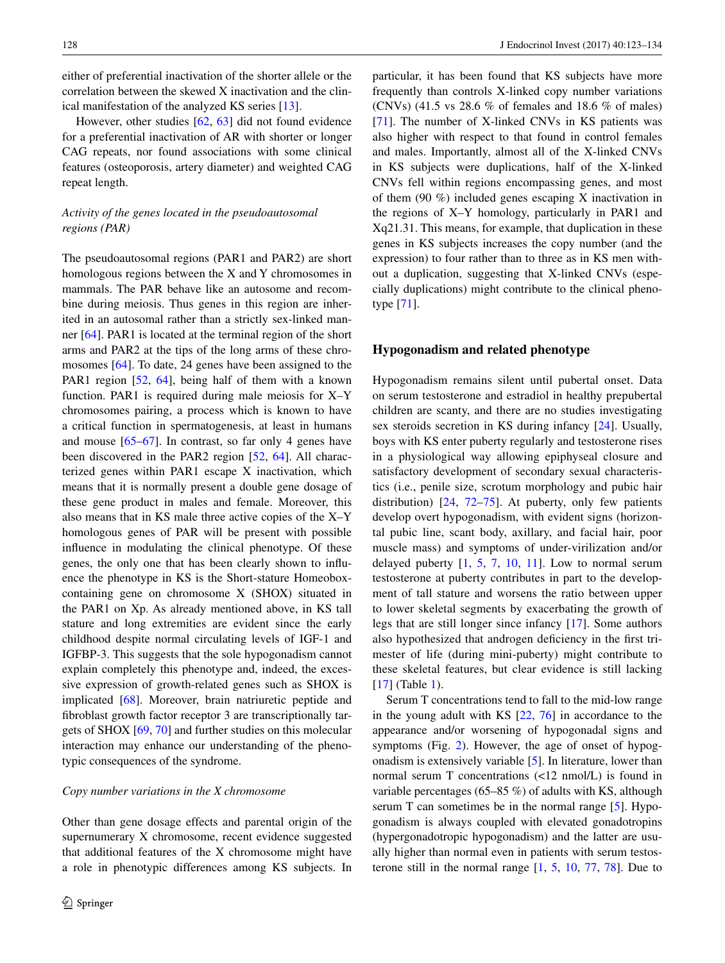either of preferential inactivation of the shorter allele or the correlation between the skewed X inactivation and the clinical manifestation of the analyzed KS series [\[13](#page-8-10)].

However, other studies [\[62](#page-10-1), [63](#page-10-2)] did not found evidence for a preferential inactivation of AR with shorter or longer CAG repeats, nor found associations with some clinical features (osteoporosis, artery diameter) and weighted CAG repeat length.

# *Activity of the genes located in the pseudoautosomal regions (PAR)*

The pseudoautosomal regions (PAR1 and PAR2) are short homologous regions between the X and Y chromosomes in mammals. The PAR behave like an autosome and recombine during meiosis. Thus genes in this region are inherited in an autosomal rather than a strictly sex-linked manner [[64\]](#page-10-3). PAR1 is located at the terminal region of the short arms and PAR2 at the tips of the long arms of these chromosomes [[64\]](#page-10-3). To date, 24 genes have been assigned to the PAR1 region [[52,](#page-9-12) [64](#page-10-3)], being half of them with a known function. PAR1 is required during male meiosis for X–Y chromosomes pairing, a process which is known to have a critical function in spermatogenesis, at least in humans and mouse  $[65-67]$  $[65-67]$ . In contrast, so far only 4 genes have been discovered in the PAR2 region [[52,](#page-9-12) [64](#page-10-3)]. All characterized genes within PAR1 escape X inactivation, which means that it is normally present a double gene dosage of these gene product in males and female. Moreover, this also means that in KS male three active copies of the X–Y homologous genes of PAR will be present with possible influence in modulating the clinical phenotype. Of these genes, the only one that has been clearly shown to influence the phenotype in KS is the Short-stature Homeoboxcontaining gene on chromosome X (SHOX) situated in the PAR1 on Xp. As already mentioned above, in KS tall stature and long extremities are evident since the early childhood despite normal circulating levels of IGF-1 and IGFBP-3. This suggests that the sole hypogonadism cannot explain completely this phenotype and, indeed, the excessive expression of growth-related genes such as SHOX is implicated [[68\]](#page-10-6). Moreover, brain natriuretic peptide and fibroblast growth factor receptor 3 are transcriptionally targets of SHOX [[69,](#page-10-7) [70\]](#page-10-8) and further studies on this molecular interaction may enhance our understanding of the phenotypic consequences of the syndrome.

#### *Copy number variations in the X chromosome*

Other than gene dosage effects and parental origin of the supernumerary X chromosome, recent evidence suggested that additional features of the X chromosome might have a role in phenotypic differences among KS subjects. In

particular, it has been found that KS subjects have more frequently than controls X-linked copy number variations (CNVs) (41.5 vs 28.6 % of females and 18.6 % of males) [\[71](#page-10-9)]. The number of X-linked CNVs in KS patients was also higher with respect to that found in control females and males. Importantly, almost all of the X-linked CNVs in KS subjects were duplications, half of the X-linked CNVs fell within regions encompassing genes, and most of them (90 %) included genes escaping X inactivation in the regions of X–Y homology, particularly in PAR1 and Xq21.31. This means, for example, that duplication in these genes in KS subjects increases the copy number (and the expression) to four rather than to three as in KS men without a duplication, suggesting that X-linked CNVs (especially duplications) might contribute to the clinical phenotype [\[71](#page-10-9)].

### **Hypogonadism and related phenotype**

Hypogonadism remains silent until pubertal onset. Data on serum testosterone and estradiol in healthy prepubertal children are scanty, and there are no studies investigating sex steroids secretion in KS during infancy [[24\]](#page-8-21). Usually, boys with KS enter puberty regularly and testosterone rises in a physiological way allowing epiphyseal closure and satisfactory development of secondary sexual characteristics (i.e., penile size, scrotum morphology and pubic hair distribution) [\[24](#page-8-21), [72–](#page-10-10)[75](#page-10-11)]. At puberty, only few patients develop overt hypogonadism, with evident signs (horizontal pubic line, scant body, axillary, and facial hair, poor muscle mass) and symptoms of under-virilization and/or delayed puberty  $[1, 5, 7, 10, 11]$  $[1, 5, 7, 10, 11]$  $[1, 5, 7, 10, 11]$  $[1, 5, 7, 10, 11]$  $[1, 5, 7, 10, 11]$  $[1, 5, 7, 10, 11]$  $[1, 5, 7, 10, 11]$  $[1, 5, 7, 10, 11]$  $[1, 5, 7, 10, 11]$  $[1, 5, 7, 10, 11]$ . Low to normal serum testosterone at puberty contributes in part to the development of tall stature and worsens the ratio between upper to lower skeletal segments by exacerbating the growth of legs that are still longer since infancy [[17\]](#page-8-14). Some authors also hypothesized that androgen deficiency in the first trimester of life (during mini-puberty) might contribute to these skeletal features, but clear evidence is still lacking [[17\]](#page-8-14) (Table [1\)](#page-2-1).

Serum T concentrations tend to fall to the mid-low range in the young adult with KS [\[22](#page-8-19), [76](#page-10-12)] in accordance to the appearance and/or worsening of hypogonadal signs and symptoms (Fig. [2\)](#page-2-0). However, the age of onset of hypogonadism is extensively variable [[5\]](#page-8-2). In literature, lower than normal serum T concentrations (<12 nmol/L) is found in variable percentages (65–85 %) of adults with KS, although serum T can sometimes be in the normal range [[5\]](#page-8-2). Hypogonadism is always coupled with elevated gonadotropins (hypergonadotropic hypogonadism) and the latter are usually higher than normal even in patients with serum testosterone still in the normal range [[1,](#page-7-0) [5](#page-8-2), [10](#page-8-7), [77](#page-10-13), [78\]](#page-10-14). Due to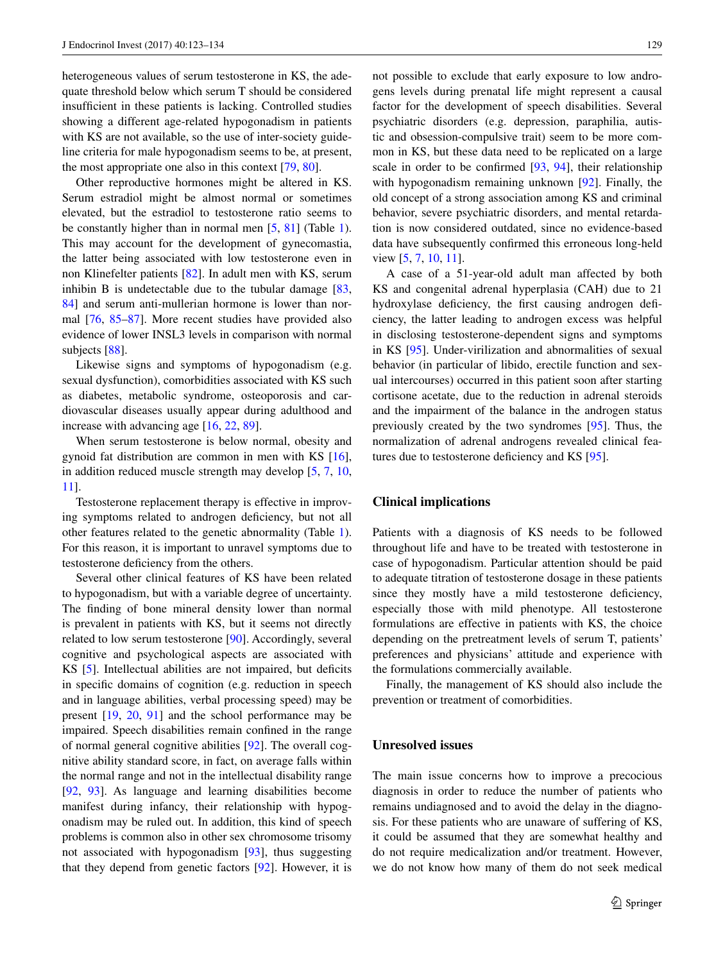heterogeneous values of serum testosterone in KS, the adequate threshold below which serum T should be considered insufficient in these patients is lacking. Controlled studies showing a different age-related hypogonadism in patients with KS are not available, so the use of inter-society guideline criteria for male hypogonadism seems to be, at present, the most appropriate one also in this context [[79,](#page-10-15) [80\]](#page-10-16).

Other reproductive hormones might be altered in KS. Serum estradiol might be almost normal or sometimes elevated, but the estradiol to testosterone ratio seems to be constantly higher than in normal men [[5,](#page-8-2) [81](#page-10-17)] (Table [1](#page-2-1)). This may account for the development of gynecomastia, the latter being associated with low testosterone even in non Klinefelter patients [[82\]](#page-10-18). In adult men with KS, serum inhibin B is undetectable due to the tubular damage [[83,](#page-10-19) [84](#page-10-20)] and serum anti-mullerian hormone is lower than normal [\[76](#page-10-12), [85–](#page-10-21)[87\]](#page-10-22). More recent studies have provided also evidence of lower INSL3 levels in comparison with normal subjects [\[88](#page-10-23)].

Likewise signs and symptoms of hypogonadism (e.g. sexual dysfunction), comorbidities associated with KS such as diabetes, metabolic syndrome, osteoporosis and cardiovascular diseases usually appear during adulthood and increase with advancing age [[16,](#page-8-13) [22,](#page-8-19) [89\]](#page-10-24).

When serum testosterone is below normal, obesity and gynoid fat distribution are common in men with KS [\[16](#page-8-13)], in addition reduced muscle strength may develop [[5,](#page-8-2) [7](#page-8-4), [10,](#page-8-7) [11](#page-8-8)].

Testosterone replacement therapy is effective in improving symptoms related to androgen deficiency, but not all other features related to the genetic abnormality (Table [1](#page-2-1)). For this reason, it is important to unravel symptoms due to testosterone deficiency from the others.

Several other clinical features of KS have been related to hypogonadism, but with a variable degree of uncertainty. The finding of bone mineral density lower than normal is prevalent in patients with KS, but it seems not directly related to low serum testosterone [\[90](#page-10-25)]. Accordingly, several cognitive and psychological aspects are associated with KS [[5\]](#page-8-2). Intellectual abilities are not impaired, but deficits in specific domains of cognition (e.g. reduction in speech and in language abilities, verbal processing speed) may be present [\[19](#page-8-16), [20](#page-8-17), [91\]](#page-11-0) and the school performance may be impaired. Speech disabilities remain confined in the range of normal general cognitive abilities [[92\]](#page-11-1). The overall cognitive ability standard score, in fact, on average falls within the normal range and not in the intellectual disability range [\[92](#page-11-1), [93](#page-11-2)]. As language and learning disabilities become manifest during infancy, their relationship with hypogonadism may be ruled out. In addition, this kind of speech problems is common also in other sex chromosome trisomy not associated with hypogonadism [\[93](#page-11-2)], thus suggesting that they depend from genetic factors [\[92](#page-11-1)]. However, it is not possible to exclude that early exposure to low androgens levels during prenatal life might represent a causal factor for the development of speech disabilities. Several psychiatric disorders (e.g. depression, paraphilia, autistic and obsession-compulsive trait) seem to be more common in KS, but these data need to be replicated on a large scale in order to be confirmed [[93,](#page-11-2) [94](#page-11-3)], their relationship with hypogonadism remaining unknown [[92\]](#page-11-1). Finally, the old concept of a strong association among KS and criminal behavior, severe psychiatric disorders, and mental retardation is now considered outdated, since no evidence-based data have subsequently confirmed this erroneous long-held view [\[5](#page-8-2), [7](#page-8-4), [10](#page-8-7), [11](#page-8-8)].

A case of a 51-year-old adult man affected by both KS and congenital adrenal hyperplasia (CAH) due to 21 hydroxylase deficiency, the first causing androgen deficiency, the latter leading to androgen excess was helpful in disclosing testosterone-dependent signs and symptoms in KS [[95\]](#page-11-4). Under-virilization and abnormalities of sexual behavior (in particular of libido, erectile function and sexual intercourses) occurred in this patient soon after starting cortisone acetate, due to the reduction in adrenal steroids and the impairment of the balance in the androgen status previously created by the two syndromes [[95\]](#page-11-4). Thus, the normalization of adrenal androgens revealed clinical features due to testosterone deficiency and KS [[95\]](#page-11-4).

## **Clinical implications**

Patients with a diagnosis of KS needs to be followed throughout life and have to be treated with testosterone in case of hypogonadism. Particular attention should be paid to adequate titration of testosterone dosage in these patients since they mostly have a mild testosterone deficiency, especially those with mild phenotype. All testosterone formulations are effective in patients with KS, the choice depending on the pretreatment levels of serum T, patients' preferences and physicians' attitude and experience with the formulations commercially available.

Finally, the management of KS should also include the prevention or treatment of comorbidities.

# **Unresolved issues**

The main issue concerns how to improve a precocious diagnosis in order to reduce the number of patients who remains undiagnosed and to avoid the delay in the diagnosis. For these patients who are unaware of suffering of KS, it could be assumed that they are somewhat healthy and do not require medicalization and/or treatment. However, we do not know how many of them do not seek medical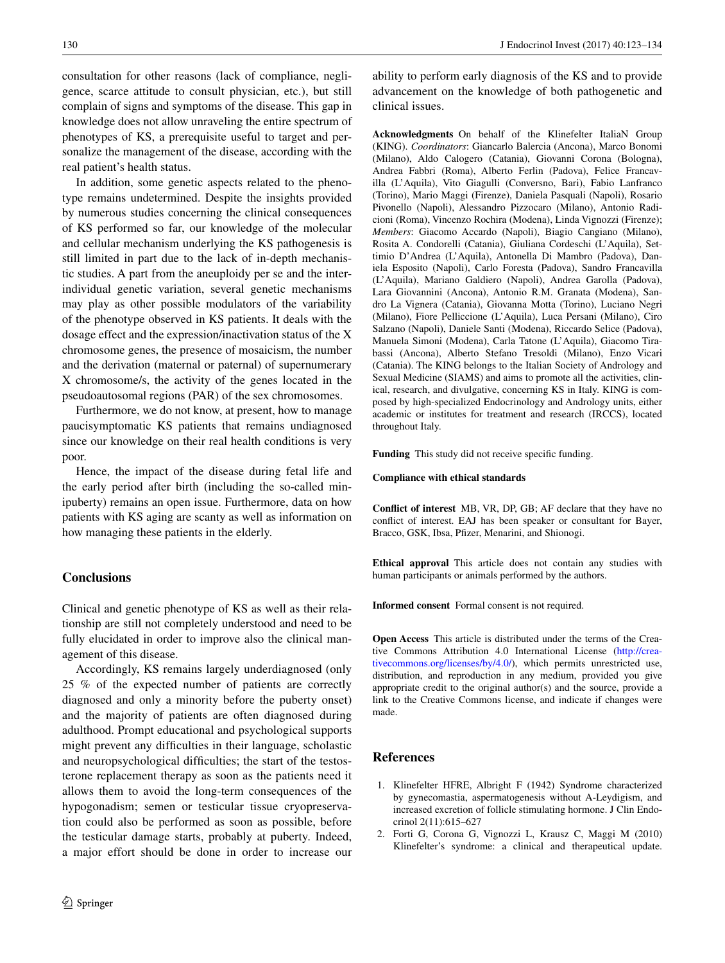consultation for other reasons (lack of compliance, negligence, scarce attitude to consult physician, etc.), but still complain of signs and symptoms of the disease. This gap in knowledge does not allow unraveling the entire spectrum of phenotypes of KS, a prerequisite useful to target and personalize the management of the disease, according with the real patient's health status.

In addition, some genetic aspects related to the phenotype remains undetermined. Despite the insights provided by numerous studies concerning the clinical consequences of KS performed so far, our knowledge of the molecular and cellular mechanism underlying the KS pathogenesis is still limited in part due to the lack of in-depth mechanistic studies. A part from the aneuploidy per se and the interindividual genetic variation, several genetic mechanisms may play as other possible modulators of the variability of the phenotype observed in KS patients. It deals with the dosage effect and the expression/inactivation status of the X chromosome genes, the presence of mosaicism, the number and the derivation (maternal or paternal) of supernumerary X chromosome/s, the activity of the genes located in the pseudoautosomal regions (PAR) of the sex chromosomes.

Furthermore, we do not know, at present, how to manage paucisymptomatic KS patients that remains undiagnosed since our knowledge on their real health conditions is very poor.

Hence, the impact of the disease during fetal life and the early period after birth (including the so-called minipuberty) remains an open issue. Furthermore, data on how patients with KS aging are scanty as well as information on how managing these patients in the elderly.

# **Conclusions**

Clinical and genetic phenotype of KS as well as their relationship are still not completely understood and need to be fully elucidated in order to improve also the clinical management of this disease.

Accordingly, KS remains largely underdiagnosed (only 25 % of the expected number of patients are correctly diagnosed and only a minority before the puberty onset) and the majority of patients are often diagnosed during adulthood. Prompt educational and psychological supports might prevent any difficulties in their language, scholastic and neuropsychological difficulties; the start of the testosterone replacement therapy as soon as the patients need it allows them to avoid the long-term consequences of the hypogonadism; semen or testicular tissue cryopreservation could also be performed as soon as possible, before the testicular damage starts, probably at puberty. Indeed, a major effort should be done in order to increase our ability to perform early diagnosis of the KS and to provide advancement on the knowledge of both pathogenetic and clinical issues.

**Acknowledgments** On behalf of the Klinefelter ItaliaN Group (KING). *Coordinators*: Giancarlo Balercia (Ancona), Marco Bonomi (Milano), Aldo Calogero (Catania), Giovanni Corona (Bologna), Andrea Fabbri (Roma), Alberto Ferlin (Padova), Felice Francavilla (L'Aquila), Vito Giagulli (Conversno, Bari), Fabio Lanfranco (Torino), Mario Maggi (Firenze), Daniela Pasquali (Napoli), Rosario Pivonello (Napoli), Alessandro Pizzocaro (Milano), Antonio Radicioni (Roma), Vincenzo Rochira (Modena), Linda Vignozzi (Firenze); *Members*: Giacomo Accardo (Napoli), Biagio Cangiano (Milano), Rosita A. Condorelli (Catania), Giuliana Cordeschi (L'Aquila), Settimio D'Andrea (L'Aquila), Antonella Di Mambro (Padova), Daniela Esposito (Napoli), Carlo Foresta (Padova), Sandro Francavilla (L'Aquila), Mariano Galdiero (Napoli), Andrea Garolla (Padova), Lara Giovannini (Ancona), Antonio R.M. Granata (Modena), Sandro La Vignera (Catania), Giovanna Motta (Torino), Luciano Negri (Milano), Fiore Pelliccione (L'Aquila), Luca Persani (Milano), Ciro Salzano (Napoli), Daniele Santi (Modena), Riccardo Selice (Padova), Manuela Simoni (Modena), Carla Tatone (L'Aquila), Giacomo Tirabassi (Ancona), Alberto Stefano Tresoldi (Milano), Enzo Vicari (Catania). The KING belongs to the Italian Society of Andrology and Sexual Medicine (SIAMS) and aims to promote all the activities, clinical, research, and divulgative, concerning KS in Italy. KING is composed by high-specialized Endocrinology and Andrology units, either academic or institutes for treatment and research (IRCCS), located throughout Italy.

**Funding** This study did not receive specific funding.

**Compliance with ethical standards**

**Conflict of interest** MB, VR, DP, GB; AF declare that they have no conflict of interest. EAJ has been speaker or consultant for Bayer, Bracco, GSK, Ibsa, Pfizer, Menarini, and Shionogi.

**Ethical approval** This article does not contain any studies with human participants or animals performed by the authors.

**Informed consent** Formal consent is not required.

**Open Access** This article is distributed under the terms of the Creative Commons Attribution 4.0 International License ([http://crea](http://creativecommons.org/licenses/by/4.0/)[tivecommons.org/licenses/by/4.0/](http://creativecommons.org/licenses/by/4.0/)), which permits unrestricted use, distribution, and reproduction in any medium, provided you give appropriate credit to the original author(s) and the source, provide a link to the Creative Commons license, and indicate if changes were made.

# **References**

- <span id="page-7-0"></span>1. Klinefelter HFRE, Albright F (1942) Syndrome characterized by gynecomastia, aspermatogenesis without A-Leydigism, and increased excretion of follicle stimulating hormone. J Clin Endocrinol 2(11):615–627
- <span id="page-7-1"></span>2. Forti G, Corona G, Vignozzi L, Krausz C, Maggi M (2010) Klinefelter's syndrome: a clinical and therapeutical update.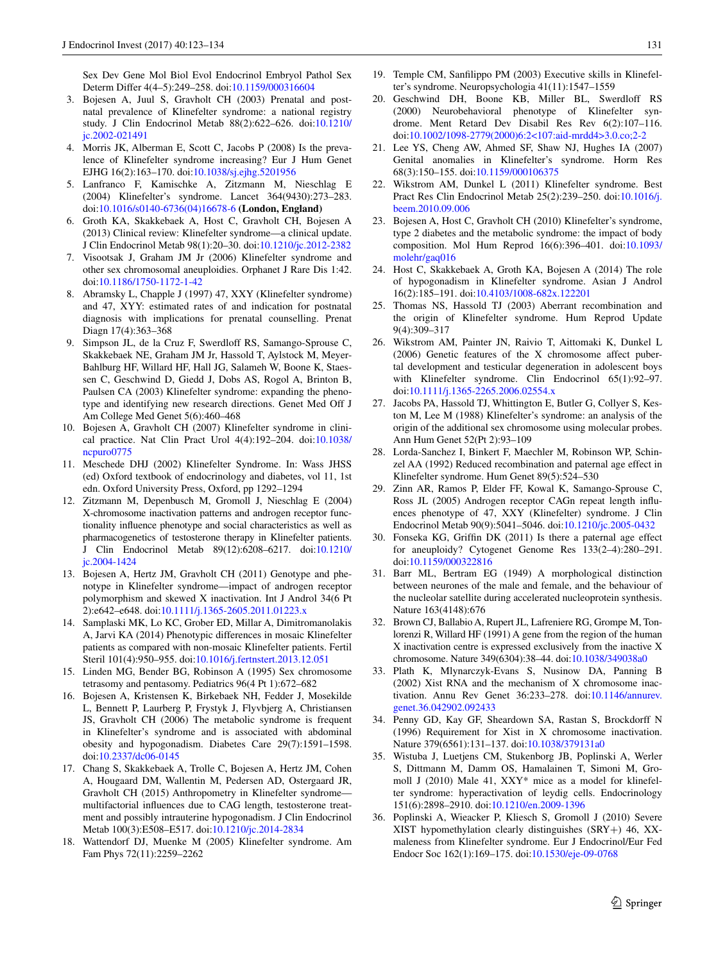Sex Dev Gene Mol Biol Evol Endocrinol Embryol Pathol Sex Determ Differ 4(4–5):249–258. doi:[10.1159/000316604](http://dx.doi.org/10.1159/000316604)

- <span id="page-8-0"></span>3. Bojesen A, Juul S, Gravholt CH (2003) Prenatal and postnatal prevalence of Klinefelter syndrome: a national registry study. J Clin Endocrinol Metab 88(2):622–626. doi[:10.1210/](http://dx.doi.org/10.1210/jc.2002-021491) [jc.2002-021491](http://dx.doi.org/10.1210/jc.2002-021491)
- <span id="page-8-1"></span>4. Morris JK, Alberman E, Scott C, Jacobs P (2008) Is the prevalence of Klinefelter syndrome increasing? Eur J Hum Genet EJHG 16(2):163–170. doi:[10.1038/sj.ejhg.5201956](http://dx.doi.org/10.1038/sj.ejhg.5201956)
- <span id="page-8-2"></span>5. Lanfranco F, Kamischke A, Zitzmann M, Nieschlag E (2004) Klinefelter's syndrome. Lancet 364(9430):273–283. doi[:10.1016/s0140-6736\(04\)16678-6](http://dx.doi.org/10.1016/s0140-6736(04)16678-6) **(London, England)**
- <span id="page-8-3"></span>6. Groth KA, Skakkebaek A, Host C, Gravholt CH, Bojesen A (2013) Clinical review: Klinefelter syndrome—a clinical update. J Clin Endocrinol Metab 98(1):20–30. doi[:10.1210/jc.2012-2382](http://dx.doi.org/10.1210/jc.2012-2382)
- <span id="page-8-4"></span>7. Visootsak J, Graham JM Jr (2006) Klinefelter syndrome and other sex chromosomal aneuploidies. Orphanet J Rare Dis 1:42. doi[:10.1186/1750-1172-1-42](http://dx.doi.org/10.1186/1750-1172-1-42)
- <span id="page-8-5"></span>8. Abramsky L, Chapple J (1997) 47, XXY (Klinefelter syndrome) and 47, XYY: estimated rates of and indication for postnatal diagnosis with implications for prenatal counselling. Prenat Diagn 17(4):363–368
- <span id="page-8-6"></span>9. Simpson JL, de la Cruz F, Swerdloff RS, Samango-Sprouse C, Skakkebaek NE, Graham JM Jr, Hassold T, Aylstock M, Meyer-Bahlburg HF, Willard HF, Hall JG, Salameh W, Boone K, Staessen C, Geschwind D, Giedd J, Dobs AS, Rogol A, Brinton B, Paulsen CA (2003) Klinefelter syndrome: expanding the phenotype and identifying new research directions. Genet Med Off J Am College Med Genet 5(6):460–468
- <span id="page-8-7"></span>10. Bojesen A, Gravholt CH (2007) Klinefelter syndrome in clinical practice. Nat Clin Pract Urol 4(4):192–204. doi[:10.1038/](http://dx.doi.org/10.1038/ncpuro0775) [ncpuro0775](http://dx.doi.org/10.1038/ncpuro0775)
- <span id="page-8-8"></span>11. Meschede DHJ (2002) Klinefelter Syndrome. In: Wass JHSS (ed) Oxford textbook of endocrinology and diabetes, vol 11, 1st edn. Oxford University Press, Oxford, pp 1292–1294
- <span id="page-8-9"></span>12. Zitzmann M, Depenbusch M, Gromoll J, Nieschlag E (2004) X-chromosome inactivation patterns and androgen receptor functionality influence phenotype and social characteristics as well as pharmacogenetics of testosterone therapy in Klinefelter patients. J Clin Endocrinol Metab 89(12):6208–6217. doi:[10.1210/](http://dx.doi.org/10.1210/jc.2004-1424) [jc.2004-1424](http://dx.doi.org/10.1210/jc.2004-1424)
- <span id="page-8-10"></span>13. Bojesen A, Hertz JM, Gravholt CH (2011) Genotype and phenotype in Klinefelter syndrome—impact of androgen receptor polymorphism and skewed X inactivation. Int J Androl 34(6 Pt 2):e642–e648. doi[:10.1111/j.1365-2605.2011.01223.x](http://dx.doi.org/10.1111/j.1365-2605.2011.01223.x)
- <span id="page-8-11"></span>14. Samplaski MK, Lo KC, Grober ED, Millar A, Dimitromanolakis A, Jarvi KA (2014) Phenotypic differences in mosaic Klinefelter patients as compared with non-mosaic Klinefelter patients. Fertil Steril 101(4):950–955. doi:[10.1016/j.fertnstert.2013.12.051](http://dx.doi.org/10.1016/j.fertnstert.2013.12.051)
- <span id="page-8-12"></span>15. Linden MG, Bender BG, Robinson A (1995) Sex chromosome tetrasomy and pentasomy. Pediatrics 96(4 Pt 1):672–682
- <span id="page-8-13"></span>16. Bojesen A, Kristensen K, Birkebaek NH, Fedder J, Mosekilde L, Bennett P, Laurberg P, Frystyk J, Flyvbjerg A, Christiansen JS, Gravholt CH (2006) The metabolic syndrome is frequent in Klinefelter's syndrome and is associated with abdominal obesity and hypogonadism. Diabetes Care 29(7):1591–1598. doi[:10.2337/dc06-0145](http://dx.doi.org/10.2337/dc06-0145)
- <span id="page-8-14"></span>17. Chang S, Skakkebaek A, Trolle C, Bojesen A, Hertz JM, Cohen A, Hougaard DM, Wallentin M, Pedersen AD, Ostergaard JR, Gravholt CH (2015) Anthropometry in Klinefelter syndrome multifactorial influences due to CAG length, testosterone treatment and possibly intrauterine hypogonadism. J Clin Endocrinol Metab 100(3):E508–E517. doi:[10.1210/jc.2014-2834](http://dx.doi.org/10.1210/jc.2014-2834)
- <span id="page-8-15"></span>18. Wattendorf DJ, Muenke M (2005) Klinefelter syndrome. Am Fam Phys 72(11):2259–2262
- <span id="page-8-16"></span>19. Temple CM, Sanfilippo PM (2003) Executive skills in Klinefelter's syndrome. Neuropsychologia 41(11):1547–1559
- <span id="page-8-17"></span>20. Geschwind DH, Boone KB, Miller BL, Swerdloff RS (2000) Neurobehavioral phenotype of Klinefelter syndrome. Ment Retard Dev Disabil Res Rev 6(2):107–116. doi[:10.1002/1098-2779\(2000\)6:2<107:aid-mrdd4>3.0.co;2-2](http://dx.doi.org/10.1002/1098-2779(2000)6:2%3c107:aid-mrdd4%3e3.0.co;2-2)
- <span id="page-8-18"></span>21. Lee YS, Cheng AW, Ahmed SF, Shaw NJ, Hughes IA (2007) Genital anomalies in Klinefelter's syndrome. Horm Res 68(3):150–155. doi[:10.1159/000106375](http://dx.doi.org/10.1159/000106375)
- <span id="page-8-19"></span>22. Wikstrom AM, Dunkel L (2011) Klinefelter syndrome. Best Pract Res Clin Endocrinol Metab 25(2):239–250. doi:[10.1016/j.](http://dx.doi.org/10.1016/j.beem.2010.09.006) [beem.2010.09.006](http://dx.doi.org/10.1016/j.beem.2010.09.006)
- <span id="page-8-20"></span>23. Bojesen A, Host C, Gravholt CH (2010) Klinefelter's syndrome, type 2 diabetes and the metabolic syndrome: the impact of body composition. Mol Hum Reprod 16(6):396–401. doi[:10.1093/](http://dx.doi.org/10.1093/molehr/gaq016) [molehr/gaq016](http://dx.doi.org/10.1093/molehr/gaq016)
- <span id="page-8-21"></span>24. Host C, Skakkebaek A, Groth KA, Bojesen A (2014) The role of hypogonadism in Klinefelter syndrome. Asian J Androl 16(2):185–191. doi[:10.4103/1008-682x.122201](http://dx.doi.org/10.4103/1008-682x.122201)
- <span id="page-8-22"></span>25. Thomas NS, Hassold TJ (2003) Aberrant recombination and the origin of Klinefelter syndrome. Hum Reprod Update 9(4):309–317
- <span id="page-8-23"></span>26. Wikstrom AM, Painter JN, Raivio T, Aittomaki K, Dunkel L (2006) Genetic features of the X chromosome affect pubertal development and testicular degeneration in adolescent boys with Klinefelter syndrome. Clin Endocrinol 65(1):92–97. doi[:10.1111/j.1365-2265.2006.02554.x](http://dx.doi.org/10.1111/j.1365-2265.2006.02554.x)
- <span id="page-8-24"></span>27. Jacobs PA, Hassold TJ, Whittington E, Butler G, Collyer S, Keston M, Lee M (1988) Klinefelter's syndrome: an analysis of the origin of the additional sex chromosome using molecular probes. Ann Hum Genet 52(Pt 2):93–109
- 28. Lorda-Sanchez I, Binkert F, Maechler M, Robinson WP, Schinzel AA (1992) Reduced recombination and paternal age effect in Klinefelter syndrome. Hum Genet 89(5):524–530
- <span id="page-8-25"></span>29. Zinn AR, Ramos P, Elder FF, Kowal K, Samango-Sprouse C, Ross JL (2005) Androgen receptor CAGn repeat length influences phenotype of 47, XXY (Klinefelter) syndrome. J Clin Endocrinol Metab 90(9):5041–5046. doi[:10.1210/jc.2005-0432](http://dx.doi.org/10.1210/jc.2005-0432)
- <span id="page-8-26"></span>30. Fonseka KG, Griffin DK (2011) Is there a paternal age effect for aneuploidy? Cytogenet Genome Res 133(2–4):280–291. doi[:10.1159/000322816](http://dx.doi.org/10.1159/000322816)
- <span id="page-8-27"></span>31. Barr ML, Bertram EG (1949) A morphological distinction between neurones of the male and female, and the behaviour of the nucleolar satellite during accelerated nucleoprotein synthesis. Nature 163(4148):676
- <span id="page-8-28"></span>32. Brown CJ, Ballabio A, Rupert JL, Lafreniere RG, Grompe M, Tonlorenzi R, Willard HF (1991) A gene from the region of the human X inactivation centre is expressed exclusively from the inactive X chromosome. Nature 349(6304):38–44. doi:[10.1038/349038a0](http://dx.doi.org/10.1038/349038a0)
- <span id="page-8-29"></span>33. Plath K, Mlynarczyk-Evans S, Nusinow DA, Panning B (2002) Xist RNA and the mechanism of X chromosome inactivation. Annu Rev Genet 36:233–278. doi:[10.1146/annurev.](http://dx.doi.org/10.1146/annurev.genet.36.042902.092433) [genet.36.042902.092433](http://dx.doi.org/10.1146/annurev.genet.36.042902.092433)
- <span id="page-8-30"></span>34. Penny GD, Kay GF, Sheardown SA, Rastan S, Brockdorff N (1996) Requirement for Xist in X chromosome inactivation. Nature 379(6561):131–137. doi[:10.1038/379131a0](http://dx.doi.org/10.1038/379131a0)
- <span id="page-8-31"></span>35. Wistuba J, Luetjens CM, Stukenborg JB, Poplinski A, Werler S, Dittmann M, Damm OS, Hamalainen T, Simoni M, Gromoll J (2010) Male 41, XXY\* mice as a model for klinefelter syndrome: hyperactivation of leydig cells. Endocrinology 151(6):2898–2910. doi:[10.1210/en.2009-1396](http://dx.doi.org/10.1210/en.2009-1396)
- 36. Poplinski A, Wieacker P, Kliesch S, Gromoll J (2010) Severe XIST hypomethylation clearly distinguishes (SRY+) 46, XXmaleness from Klinefelter syndrome. Eur J Endocrinol/Eur Fed Endocr Soc 162(1):169–175. doi:[10.1530/eje-09-0768](http://dx.doi.org/10.1530/eje-09-0768)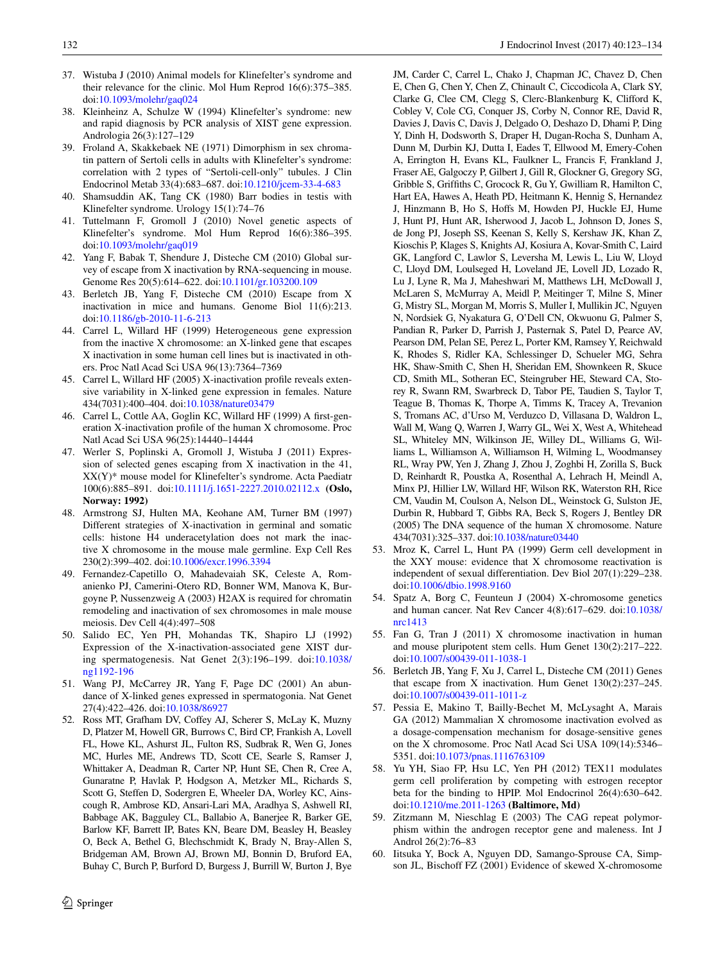- <span id="page-9-0"></span>37. Wistuba J (2010) Animal models for Klinefelter's syndrome and their relevance for the clinic. Mol Hum Reprod 16(6):375–385. doi[:10.1093/molehr/gaq024](http://dx.doi.org/10.1093/molehr/gaq024)
- <span id="page-9-1"></span>38. Kleinheinz A, Schulze W (1994) Klinefelter's syndrome: new and rapid diagnosis by PCR analysis of XIST gene expression. Andrologia 26(3):127–129
- <span id="page-9-2"></span>39. Froland A, Skakkebaek NE (1971) Dimorphism in sex chromatin pattern of Sertoli cells in adults with Klinefelter's syndrome: correlation with 2 types of "Sertoli-cell-only" tubules. J Clin Endocrinol Metab 33(4):683–687. doi:[10.1210/jcem-33-4-683](http://dx.doi.org/10.1210/jcem-33-4-683)
- <span id="page-9-3"></span>40. Shamsuddin AK, Tang CK (1980) Barr bodies in testis with Klinefelter syndrome. Urology 15(1):74–76
- <span id="page-9-4"></span>41. Tuttelmann F, Gromoll J (2010) Novel genetic aspects of Klinefelter's syndrome. Mol Hum Reprod 16(6):386–395. doi[:10.1093/molehr/gaq019](http://dx.doi.org/10.1093/molehr/gaq019)
- 42. Yang F, Babak T, Shendure J, Disteche CM (2010) Global survey of escape from X inactivation by RNA-sequencing in mouse. Genome Res 20(5):614–622. doi:[10.1101/gr.103200.109](http://dx.doi.org/10.1101/gr.103200.109)
- 43. Berletch JB, Yang F, Disteche CM (2010) Escape from X inactivation in mice and humans. Genome Biol 11(6):213. doi[:10.1186/gb-2010-11-6-213](http://dx.doi.org/10.1186/gb-2010-11-6-213)
- <span id="page-9-6"></span>44. Carrel L, Willard HF (1999) Heterogeneous gene expression from the inactive X chromosome: an X-linked gene that escapes X inactivation in some human cell lines but is inactivated in others. Proc Natl Acad Sci USA 96(13):7364–7369
- 45. Carrel L, Willard HF (2005) X-inactivation profile reveals extensive variability in X-linked gene expression in females. Nature 434(7031):400–404. doi[:10.1038/nature03479](http://dx.doi.org/10.1038/nature03479)
- <span id="page-9-5"></span>46. Carrel L, Cottle AA, Goglin KC, Willard HF (1999) A first-generation X-inactivation profile of the human X chromosome. Proc Natl Acad Sci USA 96(25):14440–14444
- <span id="page-9-7"></span>47. Werler S, Poplinski A, Gromoll J, Wistuba J (2011) Expression of selected genes escaping from X inactivation in the 41, XX(Y)\* mouse model for Klinefelter's syndrome. Acta Paediatr 100(6):885–891. doi:[10.1111/j.1651-2227.2010.02112.x](http://dx.doi.org/10.1111/j.1651-2227.2010.02112.x) **(Oslo, Norway: 1992)**
- <span id="page-9-8"></span>48. Armstrong SJ, Hulten MA, Keohane AM, Turner BM (1997) Different strategies of X-inactivation in germinal and somatic cells: histone H4 underacetylation does not mark the inactive X chromosome in the mouse male germline. Exp Cell Res 230(2):399–402. doi[:10.1006/excr.1996.3394](http://dx.doi.org/10.1006/excr.1996.3394)
- <span id="page-9-9"></span>49. Fernandez-Capetillo O, Mahadevaiah SK, Celeste A, Romanienko PJ, Camerini-Otero RD, Bonner WM, Manova K, Burgoyne P, Nussenzweig A (2003) H2AX is required for chromatin remodeling and inactivation of sex chromosomes in male mouse meiosis. Dev Cell 4(4):497–508
- <span id="page-9-10"></span>50. Salido EC, Yen PH, Mohandas TK, Shapiro LJ (1992) Expression of the X-inactivation-associated gene XIST during spermatogenesis. Nat Genet 2(3):196–199. doi:[10.1038/](http://dx.doi.org/10.1038/ng1192-196) [ng1192-196](http://dx.doi.org/10.1038/ng1192-196)
- <span id="page-9-11"></span>51. Wang PJ, McCarrey JR, Yang F, Page DC (2001) An abundance of X-linked genes expressed in spermatogonia. Nat Genet 27(4):422–426. doi[:10.1038/86927](http://dx.doi.org/10.1038/86927)
- <span id="page-9-12"></span>52. Ross MT, Grafham DV, Coffey AJ, Scherer S, McLay K, Muzny D, Platzer M, Howell GR, Burrows C, Bird CP, Frankish A, Lovell FL, Howe KL, Ashurst JL, Fulton RS, Sudbrak R, Wen G, Jones MC, Hurles ME, Andrews TD, Scott CE, Searle S, Ramser J, Whittaker A, Deadman R, Carter NP, Hunt SE, Chen R, Cree A, Gunaratne P, Havlak P, Hodgson A, Metzker ML, Richards S, Scott G, Steffen D, Sodergren E, Wheeler DA, Worley KC, Ainscough R, Ambrose KD, Ansari-Lari MA, Aradhya S, Ashwell RI, Babbage AK, Bagguley CL, Ballabio A, Banerjee R, Barker GE, Barlow KF, Barrett IP, Bates KN, Beare DM, Beasley H, Beasley O, Beck A, Bethel G, Blechschmidt K, Brady N, Bray-Allen S, Bridgeman AM, Brown AJ, Brown MJ, Bonnin D, Bruford EA, Buhay C, Burch P, Burford D, Burgess J, Burrill W, Burton J, Bye

JM, Carder C, Carrel L, Chako J, Chapman JC, Chavez D, Chen E, Chen G, Chen Y, Chen Z, Chinault C, Ciccodicola A, Clark SY, Clarke G, Clee CM, Clegg S, Clerc-Blankenburg K, Clifford K, Cobley V, Cole CG, Conquer JS, Corby N, Connor RE, David R, Davies J, Davis C, Davis J, Delgado O, Deshazo D, Dhami P, Ding Y, Dinh H, Dodsworth S, Draper H, Dugan-Rocha S, Dunham A, Dunn M, Durbin KJ, Dutta I, Eades T, Ellwood M, Emery-Cohen A, Errington H, Evans KL, Faulkner L, Francis F, Frankland J, Fraser AE, Galgoczy P, Gilbert J, Gill R, Glockner G, Gregory SG, Gribble S, Griffiths C, Grocock R, Gu Y, Gwilliam R, Hamilton C, Hart EA, Hawes A, Heath PD, Heitmann K, Hennig S, Hernandez J, Hinzmann B, Ho S, Hoffs M, Howden PJ, Huckle EJ, Hume J, Hunt PJ, Hunt AR, Isherwood J, Jacob L, Johnson D, Jones S, de Jong PJ, Joseph SS, Keenan S, Kelly S, Kershaw JK, Khan Z, Kioschis P, Klages S, Knights AJ, Kosiura A, Kovar-Smith C, Laird GK, Langford C, Lawlor S, Leversha M, Lewis L, Liu W, Lloyd C, Lloyd DM, Loulseged H, Loveland JE, Lovell JD, Lozado R, Lu J, Lyne R, Ma J, Maheshwari M, Matthews LH, McDowall J, McLaren S, McMurray A, Meidl P, Meitinger T, Milne S, Miner G, Mistry SL, Morgan M, Morris S, Muller I, Mullikin JC, Nguyen N, Nordsiek G, Nyakatura G, O'Dell CN, Okwuonu G, Palmer S, Pandian R, Parker D, Parrish J, Pasternak S, Patel D, Pearce AV, Pearson DM, Pelan SE, Perez L, Porter KM, Ramsey Y, Reichwald K, Rhodes S, Ridler KA, Schlessinger D, Schueler MG, Sehra HK, Shaw-Smith C, Shen H, Sheridan EM, Shownkeen R, Skuce CD, Smith ML, Sotheran EC, Steingruber HE, Steward CA, Storey R, Swann RM, Swarbreck D, Tabor PE, Taudien S, Taylor T, Teague B, Thomas K, Thorpe A, Timms K, Tracey A, Trevanion S, Tromans AC, d'Urso M, Verduzco D, Villasana D, Waldron L, Wall M, Wang Q, Warren J, Warry GL, Wei X, West A, Whitehead SL, Whiteley MN, Wilkinson JE, Willey DL, Williams G, Williams L, Williamson A, Williamson H, Wilming L, Woodmansey RL, Wray PW, Yen J, Zhang J, Zhou J, Zoghbi H, Zorilla S, Buck D, Reinhardt R, Poustka A, Rosenthal A, Lehrach H, Meindl A, Minx PJ, Hillier LW, Willard HF, Wilson RK, Waterston RH, Rice CM, Vaudin M, Coulson A, Nelson DL, Weinstock G, Sulston JE, Durbin R, Hubbard T, Gibbs RA, Beck S, Rogers J, Bentley DR (2005) The DNA sequence of the human X chromosome. Nature 434(7031):325–337. doi[:10.1038/nature03440](http://dx.doi.org/10.1038/nature03440)

- <span id="page-9-13"></span>53. Mroz K, Carrel L, Hunt PA (1999) Germ cell development in the XXY mouse: evidence that X chromosome reactivation is independent of sexual differentiation. Dev Biol 207(1):229–238. doi[:10.1006/dbio.1998.9160](http://dx.doi.org/10.1006/dbio.1998.9160)
- <span id="page-9-14"></span>54. Spatz A, Borg C, Feunteun J (2004) X-chromosome genetics and human cancer. Nat Rev Cancer 4(8):617–629. doi[:10.1038/](http://dx.doi.org/10.1038/nrc1413) [nrc1413](http://dx.doi.org/10.1038/nrc1413)
- 55. Fan G, Tran J (2011) X chromosome inactivation in human and mouse pluripotent stem cells. Hum Genet 130(2):217–222. doi[:10.1007/s00439-011-1038-1](http://dx.doi.org/10.1007/s00439-011-1038-1)
- 56. Berletch JB, Yang F, Xu J, Carrel L, Disteche CM (2011) Genes that escape from X inactivation. Hum Genet 130(2):237–245. doi[:10.1007/s00439-011-1011-z](http://dx.doi.org/10.1007/s00439-011-1011-z)
- <span id="page-9-15"></span>57. Pessia E, Makino T, Bailly-Bechet M, McLysaght A, Marais GA (2012) Mammalian X chromosome inactivation evolved as a dosage-compensation mechanism for dosage-sensitive genes on the X chromosome. Proc Natl Acad Sci USA 109(14):5346– 5351. doi:[10.1073/pnas.1116763109](http://dx.doi.org/10.1073/pnas.1116763109)
- <span id="page-9-16"></span>58. Yu YH, Siao FP, Hsu LC, Yen PH (2012) TEX11 modulates germ cell proliferation by competing with estrogen receptor beta for the binding to HPIP. Mol Endocrinol 26(4):630–642. doi[:10.1210/me.2011-1263](http://dx.doi.org/10.1210/me.2011-1263) **(Baltimore, Md)**
- <span id="page-9-17"></span>59. Zitzmann M, Nieschlag E (2003) The CAG repeat polymorphism within the androgen receptor gene and maleness. Int J Androl 26(2):76–83
- <span id="page-9-18"></span>60. Iitsuka Y, Bock A, Nguyen DD, Samango-Sprouse CA, Simpson JL, Bischoff FZ (2001) Evidence of skewed X-chromosome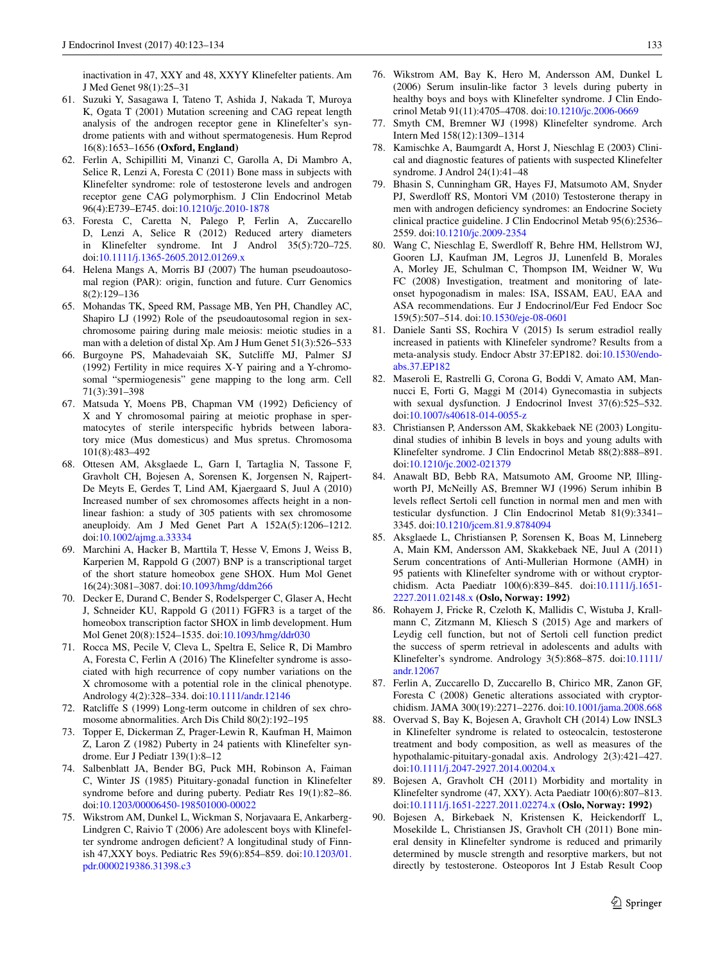inactivation in 47, XXY and 48, XXYY Klinefelter patients. Am J Med Genet 98(1):25–31

- <span id="page-10-0"></span>61. Suzuki Y, Sasagawa I, Tateno T, Ashida J, Nakada T, Muroya K, Ogata T (2001) Mutation screening and CAG repeat length analysis of the androgen receptor gene in Klinefelter's syndrome patients with and without spermatogenesis. Hum Reprod 16(8):1653–1656 **(Oxford, England)**
- <span id="page-10-1"></span>62. Ferlin A, Schipilliti M, Vinanzi C, Garolla A, Di Mambro A, Selice R, Lenzi A, Foresta C (2011) Bone mass in subjects with Klinefelter syndrome: role of testosterone levels and androgen receptor gene CAG polymorphism. J Clin Endocrinol Metab 96(4):E739–E745. doi[:10.1210/jc.2010-1878](http://dx.doi.org/10.1210/jc.2010-1878)
- <span id="page-10-2"></span>63. Foresta C, Caretta N, Palego P, Ferlin A, Zuccarello D, Lenzi A, Selice R (2012) Reduced artery diameters in Klinefelter syndrome. Int J Androl 35(5):720–725. doi[:10.1111/j.1365-2605.2012.01269.x](http://dx.doi.org/10.1111/j.1365-2605.2012.01269.x)
- <span id="page-10-3"></span>64. Helena Mangs A, Morris BJ (2007) The human pseudoautosomal region (PAR): origin, function and future. Curr Genomics 8(2):129–136
- <span id="page-10-4"></span>65. Mohandas TK, Speed RM, Passage MB, Yen PH, Chandley AC, Shapiro LJ (1992) Role of the pseudoautosomal region in sexchromosome pairing during male meiosis: meiotic studies in a man with a deletion of distal Xp. Am J Hum Genet 51(3):526–533
- 66. Burgoyne PS, Mahadevaiah SK, Sutcliffe MJ, Palmer SJ (1992) Fertility in mice requires X-Y pairing and a Y-chromosomal "spermiogenesis" gene mapping to the long arm. Cell 71(3):391–398
- <span id="page-10-5"></span>67. Matsuda Y, Moens PB, Chapman VM (1992) Deficiency of X and Y chromosomal pairing at meiotic prophase in spermatocytes of sterile interspecific hybrids between laboratory mice (Mus domesticus) and Mus spretus. Chromosoma 101(8):483–492
- <span id="page-10-6"></span>68. Ottesen AM, Aksglaede L, Garn I, Tartaglia N, Tassone F, Gravholt CH, Bojesen A, Sorensen K, Jorgensen N, Rajpert-De Meyts E, Gerdes T, Lind AM, Kjaergaard S, Juul A (2010) Increased number of sex chromosomes affects height in a nonlinear fashion: a study of 305 patients with sex chromosome aneuploidy. Am J Med Genet Part A 152A(5):1206–1212. doi[:10.1002/ajmg.a.33334](http://dx.doi.org/10.1002/ajmg.a.33334)
- <span id="page-10-7"></span>69. Marchini A, Hacker B, Marttila T, Hesse V, Emons J, Weiss B, Karperien M, Rappold G (2007) BNP is a transcriptional target of the short stature homeobox gene SHOX. Hum Mol Genet 16(24):3081–3087. doi:[10.1093/hmg/ddm266](http://dx.doi.org/10.1093/hmg/ddm266)
- <span id="page-10-8"></span>70. Decker E, Durand C, Bender S, Rodelsperger C, Glaser A, Hecht J, Schneider KU, Rappold G (2011) FGFR3 is a target of the homeobox transcription factor SHOX in limb development. Hum Mol Genet 20(8):1524–1535. doi[:10.1093/hmg/ddr030](http://dx.doi.org/10.1093/hmg/ddr030)
- <span id="page-10-9"></span>71. Rocca MS, Pecile V, Cleva L, Speltra E, Selice R, Di Mambro A, Foresta C, Ferlin A (2016) The Klinefelter syndrome is associated with high recurrence of copy number variations on the X chromosome with a potential role in the clinical phenotype. Andrology 4(2):328–334. doi:[10.1111/andr.12146](http://dx.doi.org/10.1111/andr.12146)
- <span id="page-10-10"></span>72. Ratcliffe S (1999) Long-term outcome in children of sex chromosome abnormalities. Arch Dis Child 80(2):192–195
- 73. Topper E, Dickerman Z, Prager-Lewin R, Kaufman H, Maimon Z, Laron Z (1982) Puberty in 24 patients with Klinefelter syndrome. Eur J Pediatr 139(1):8–12
- 74. Salbenblatt JA, Bender BG, Puck MH, Robinson A, Faiman C, Winter JS (1985) Pituitary-gonadal function in Klinefelter syndrome before and during puberty. Pediatr Res 19(1):82–86. doi[:10.1203/00006450-198501000-00022](http://dx.doi.org/10.1203/00006450-198501000-00022)
- <span id="page-10-11"></span>75. Wikstrom AM, Dunkel L, Wickman S, Norjavaara E, Ankarberg-Lindgren C, Raivio T (2006) Are adolescent boys with Klinefelter syndrome androgen deficient? A longitudinal study of Finnish 47,XXY boys. Pediatric Res 59(6):854–859. doi:[10.1203/01.](http://dx.doi.org/10.1203/01.pdr.0000219386.31398.c3) [pdr.0000219386.31398.c3](http://dx.doi.org/10.1203/01.pdr.0000219386.31398.c3)
- <span id="page-10-12"></span>76. Wikstrom AM, Bay K, Hero M, Andersson AM, Dunkel L (2006) Serum insulin-like factor 3 levels during puberty in healthy boys and boys with Klinefelter syndrome. J Clin Endocrinol Metab 91(11):4705–4708. doi:[10.1210/jc.2006-0669](http://dx.doi.org/10.1210/jc.2006-0669)
- <span id="page-10-13"></span>77. Smyth CM, Bremner WJ (1998) Klinefelter syndrome. Arch Intern Med 158(12):1309–1314
- <span id="page-10-14"></span>78. Kamischke A, Baumgardt A, Horst J, Nieschlag E (2003) Clinical and diagnostic features of patients with suspected Klinefelter syndrome. J Androl 24(1):41–48
- <span id="page-10-15"></span>79. Bhasin S, Cunningham GR, Hayes FJ, Matsumoto AM, Snyder PJ, Swerdloff RS, Montori VM (2010) Testosterone therapy in men with androgen deficiency syndromes: an Endocrine Society clinical practice guideline. J Clin Endocrinol Metab 95(6):2536– 2559. doi:[10.1210/jc.2009-2354](http://dx.doi.org/10.1210/jc.2009-2354)
- <span id="page-10-16"></span>80. Wang C, Nieschlag E, Swerdloff R, Behre HM, Hellstrom WJ, Gooren LJ, Kaufman JM, Legros JJ, Lunenfeld B, Morales A, Morley JE, Schulman C, Thompson IM, Weidner W, Wu FC (2008) Investigation, treatment and monitoring of lateonset hypogonadism in males: ISA, ISSAM, EAU, EAA and ASA recommendations. Eur J Endocrinol/Eur Fed Endocr Soc 159(5):507–514. doi[:10.1530/eje-08-0601](http://dx.doi.org/10.1530/eje-08-0601)
- <span id="page-10-17"></span>81. Daniele Santi SS, Rochira V (2015) Is serum estradiol really increased in patients with Klinefeler syndrome? Results from a meta-analysis study. Endocr Abstr 37:EP182. doi:[10.1530/endo](http://dx.doi.org/10.1530/endoabs.37.EP182)[abs.37.EP182](http://dx.doi.org/10.1530/endoabs.37.EP182)
- <span id="page-10-18"></span>82. Maseroli E, Rastrelli G, Corona G, Boddi V, Amato AM, Mannucci E, Forti G, Maggi M (2014) Gynecomastia in subjects with sexual dysfunction. J Endocrinol Invest 37(6):525–532. doi[:10.1007/s40618-014-0055-z](http://dx.doi.org/10.1007/s40618-014-0055-z)
- <span id="page-10-19"></span>83. Christiansen P, Andersson AM, Skakkebaek NE (2003) Longitudinal studies of inhibin B levels in boys and young adults with Klinefelter syndrome. J Clin Endocrinol Metab 88(2):888–891. doi[:10.1210/jc.2002-021379](http://dx.doi.org/10.1210/jc.2002-021379)
- <span id="page-10-20"></span>84. Anawalt BD, Bebb RA, Matsumoto AM, Groome NP, Illingworth PJ, McNeilly AS, Bremner WJ (1996) Serum inhibin B levels reflect Sertoli cell function in normal men and men with testicular dysfunction. J Clin Endocrinol Metab 81(9):3341– 3345. doi:[10.1210/jcem.81.9.8784094](http://dx.doi.org/10.1210/jcem.81.9.8784094)
- <span id="page-10-21"></span>85. Aksglaede L, Christiansen P, Sorensen K, Boas M, Linneberg A, Main KM, Andersson AM, Skakkebaek NE, Juul A (2011) Serum concentrations of Anti-Mullerian Hormone (AMH) in 95 patients with Klinefelter syndrome with or without cryptorchidism. Acta Paediatr 100(6):839–845. doi:[10.1111/j.1651-](http://dx.doi.org/10.1111/j.1651-2227.2011.02148.x) [2227.2011.02148.x](http://dx.doi.org/10.1111/j.1651-2227.2011.02148.x) **(Oslo, Norway: 1992)**
- 86. Rohayem J, Fricke R, Czeloth K, Mallidis C, Wistuba J, Krallmann C, Zitzmann M, Kliesch S (2015) Age and markers of Leydig cell function, but not of Sertoli cell function predict the success of sperm retrieval in adolescents and adults with Klinefelter's syndrome. Andrology 3(5):868–875. doi[:10.1111/](http://dx.doi.org/10.1111/andr.12067) [andr.12067](http://dx.doi.org/10.1111/andr.12067)
- <span id="page-10-22"></span>87. Ferlin A, Zuccarello D, Zuccarello B, Chirico MR, Zanon GF, Foresta C (2008) Genetic alterations associated with cryptorchidism. JAMA 300(19):2271–2276. doi:[10.1001/jama.2008.668](http://dx.doi.org/10.1001/jama.2008.668)
- <span id="page-10-23"></span>88. Overvad S, Bay K, Bojesen A, Gravholt CH (2014) Low INSL3 in Klinefelter syndrome is related to osteocalcin, testosterone treatment and body composition, as well as measures of the hypothalamic-pituitary-gonadal axis. Andrology 2(3):421–427. doi[:10.1111/j.2047-2927.2014.00204.x](http://dx.doi.org/10.1111/j.2047-2927.2014.00204.x)
- <span id="page-10-24"></span>89. Bojesen A, Gravholt CH (2011) Morbidity and mortality in Klinefelter syndrome (47, XXY). Acta Paediatr 100(6):807–813. doi[:10.1111/j.1651-2227.2011.02274.x](http://dx.doi.org/10.1111/j.1651-2227.2011.02274.x) **(Oslo, Norway: 1992)**
- <span id="page-10-25"></span>90. Bojesen A, Birkebaek N, Kristensen K, Heickendorff L, Mosekilde L, Christiansen JS, Gravholt CH (2011) Bone mineral density in Klinefelter syndrome is reduced and primarily determined by muscle strength and resorptive markers, but not directly by testosterone. Osteoporos Int J Estab Result Coop